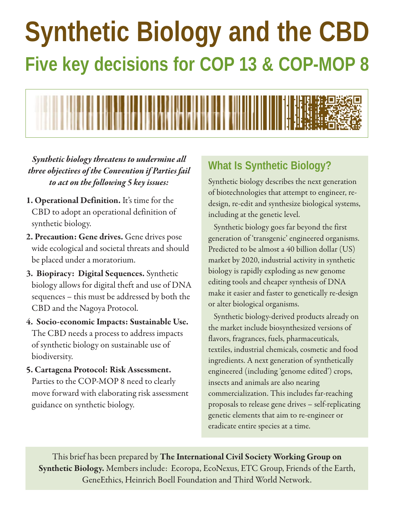# **Synthetic Biology and the CBD Five key decisions for COP 13 & COP-MOP 8**



*Synthetic biology threatens to undermine all three objectives of the Convention if Parties fail to act on the following 5 key issues:*

- **1. Operational Definition.** It's time for the CBD to adopt an operational definition of synthetic biology.
- **2. Precaution: Gene drives.** Gene drives pose wide ecological and societal threats and should be placed under a moratorium.
- **3. Biopiracy: Digital Sequences.** Synthetic biology allows for digital theft and use of DNA sequences – this must be addressed by both the CBD and the Nagoya Protocol.
- **4. Socio-economic Impacts: Sustainable Use.** The CBD needs a process to address impacts of synthetic biology on sustainable use of biodiversity.
- **5. Cartagena Protocol: Risk Assessment.** Parties to the COP-MOP 8 need to clearly move forward with elaborating risk assessment guidance on synthetic biology.

## **What Is Synthetic Biology?**

Synthetic biology describes the next generation of biotechnologies that attempt to engineer, redesign, re-edit and synthesize biological systems, including at the genetic level.

Synthetic biology goes far beyond the first generation of 'transgenic' engineered organisms. Predicted to be almost a 40 billion dollar (US) market by 2020, industrial activity in synthetic biology is rapidly exploding as new genome editing tools and cheaper synthesis of DNA make it easier and faster to genetically re-design or alter biological organisms.

Synthetic biology-derived products already on the market include biosynthesized versions of flavors, fragrances, fuels, pharmaceuticals, textiles, industrial chemicals, cosmetic and food ingredients. A next generation of synthetically engineered (including 'genome edited') crops, insects and animals are also nearing commercialization. This includes far-reaching proposals to release gene drives – self-replicating genetic elements that aim to re-engineer or eradicate entire species at a time.

This brief has been prepared by **The International Civil Society Working Group on Synthetic Biology.** Members include: Ecoropa, EcoNexus, ETC Group, Friends of the Earth, GeneEthics, Heinrich Boell Foundation and Third World Network.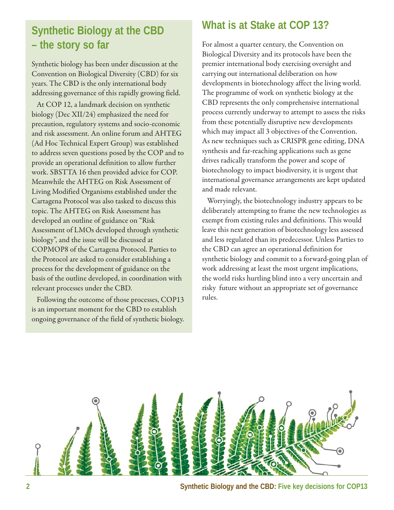## **Synthetic Biology at the CBD – the story so far**

Synthetic biology has been under discussion at the Convention on Biological Diversity (CBD) for six years. The CBD is the only international body addressing governance of this rapidly growing field.

At COP 12, a landmark decision on synthetic biology (Dec XII/24) emphasized the need for precaution, regulatory systems and socio-economic and risk assessment. An online forum and AHTEG (Ad Hoc Technical Expert Group) was established to address seven questions posed by the COP and to provide an operational definition to allow further work. SBSTTA 16 then provided advice for COP. Meanwhile the AHTEG on Risk Assessment of Living Modified Organisms established under the Cartagena Protocol was also tasked to discuss this topic. The AHTEG on Risk Assessment has developed an outline of guidance on "Risk Assessment of LMOs developed through synthetic biology", and the issue will be discussed at COPMOP8 of the Cartagena Protocol. Parties to the Protocol are asked to consider establishing a process for the development of guidance on the basis of the outline developed, in coordination with relevant processes under the CBD.

Following the outcome of those processes, COP13 is an important moment for the CBD to establish ongoing governance of the field of synthetic biology.

### **What is at Stake at COP 13?**

For almost a quarter century, the Convention on Biological Diversity and its protocols have been the premier international body exercising oversight and carrying out international deliberation on how developments in biotechnology affect the living world. The programme of work on synthetic biology at the CBD represents the only comprehensive international process currently underway to attempt to assess the risks from these potentially disruptive new developments which may impact all 3 objectives of the Convention. As new techniques such as CRISPR gene editing, DNA synthesis and far-reaching applications such as gene drives radically transform the power and scope of biotechnology to impact biodiversity, it is urgent that international governance arrangements are kept updated and made relevant.

Worryingly, the biotechnology industry appears to be deliberately attempting to frame the new technologies as exempt from existing rules and definitions. This would leave this next generation of biotechnology less assessed and less regulated than its predecessor. Unless Parties to the CBD can agree an operational definition for synthetic biology and commit to a forward-going plan of work addressing at least the most urgent implications, the world risks hurtling blind into a very uncertain and risky future without an appropriate set of governance rules.



**2 Synthetic Biology and the CBD: Five key decisions for COP13**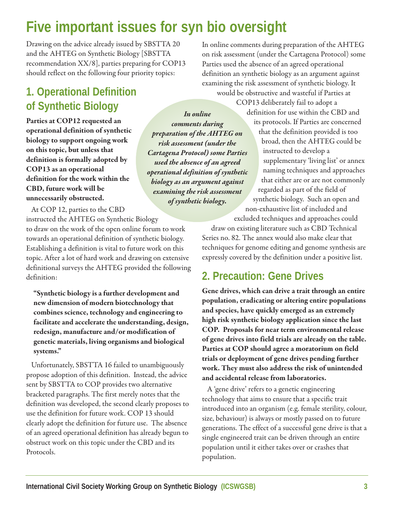## **Five important issues for syn bio oversight**

Drawing on the advice already issued by SBSTTA 20 and the AHTEG on Synthetic Biology [SBSTTA recommendation XX/8], parties preparing for COP13 should reflect on the following four priority topics:

## **1. Operational Definition of Synthetic Biology**

**Parties at COP12 requested an operational definition of synthetic biology to support ongoing work on this topic, but unless that definition is formally adopted by COP13 as an operational definition for the work within the CBD, future work will be unnecessarily obstructed.**

*In online comments during preparation of the AHTEG on risk assessment (under the Cartagena Protocol) some Parties used the absence of an agreed operational definition of synthetic biology as an argument against examining the risk assessment of synthetic biology.*

At COP 12, parties to the CBD instructed the AHTEG on Synthetic Biology

to draw on the work of the open online forum to work towards an operational definition of synthetic biology. Establishing a definition is vital to future work on this topic. After a lot of hard work and drawing on extensive definitional surveys the AHTEG provided the following definition:

**"Synthetic biology is a further development and new dimension of modern biotechnology that combines science, technology and engineering to facilitate and accelerate the understanding, design, redesign, manufacture and/or modification of genetic materials, living organisms and biological systems."** 

Unfortunately, SBSTTA 16 failed to unambiguously propose adoption of this definition. Instead, the advice sent by SBSTTA to COP provides two alternative bracketed paragraphs. The first merely notes that the definition was developed, the second clearly proposes to use the definition for future work. COP 13 should clearly adopt the definition for future use. The absence of an agreed operational definition has already begun to obstruct work on this topic under the CBD and its Protocols.

In online comments during preparation of the AHTEG on risk assessment (under the Cartagena Protocol) some Parties used the absence of an agreed operational definition an synthetic biology as an argument against examining the risk assessment of synthetic biology. It would be obstructive and wasteful if Parties at

> COP13 deliberately fail to adopt a definition for use within the CBD and its protocols. If Parties are concerned that the definition provided is too broad, then the AHTEG could be instructed to develop a supplementary 'living list' or annex naming techniques and approaches that either are or are not commonly regarded as part of the field of synthetic biology. Such an open and non-exhaustive list of included and excluded techniques and approaches could

draw on existing literature such as CBD Technical Series no. 82. The annex would also make clear that techniques for genome editing and genome synthesis are expressly covered by the definition under a positive list.

## **2. Precaution: Gene Drives**

**Gene drives, which can drive a trait through an entire population, eradicating or altering entire populations and species, have quickly emerged as an extremely high risk synthetic biology application since the last COP. Proposals for near term environmental release of gene drives into field trials are already on the table. Parties at COP should agree a moratorium on field trials or deployment of gene drives pending further work. They must also address the risk of unintended and accidental release from laboratories.**

A 'gene drive' refers to a genetic engineering technology that aims to ensure that a specific trait introduced into an organism (e.g. female sterility, colour, size, behaviour) is always or mostly passed on to future generations. The effect of a successful gene drive is that a single engineered trait can be driven through an entire population until it either takes over or crashes that population.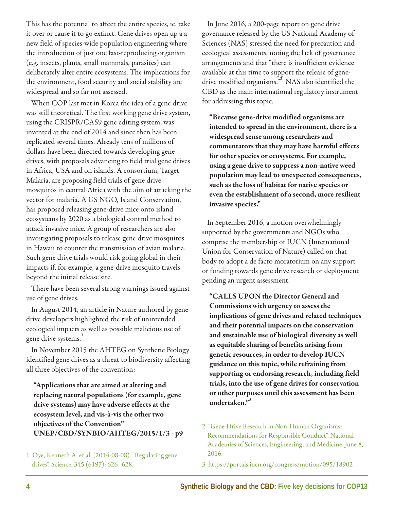This has the potential to affect the entire species, ie. take it over or cause it to go extinct. Gene drives open up a a new field of species-wide population engineering where the introduction of just one fast-reproducing organism (e.g. insects, plants, small mammals, parasites) can deliberately alter entire ecosystems. The implications for the environment, food security and social stability are widespread and so far not assessed.

When COP last met in Korea the idea of a gene drive was still theoretical. The first working gene drive system, using the CRISPR/CAS9 gene editing system, was invented at the end of 2014 and since then has been replicated several times. Already tens of millions of dollars have been directed towards developing gene drives, with proposals advancing to field trial gene drives in Africa, USA and on islands. A consortium, Target Malaria, are proposing field trials of gene drive mosquitos in central Africa with the aim of attacking the vector for malaria. A US NGO, Island Conservation, has proposed releasing gene-drive mice onto island ecosystems by 2020 as a biological control method to attack invasive mice. A group of researchers are also investigating proposals to release gene drive mosquitos in Hawaii to counter the transmission of avian malaria. Such gene drive trials would risk going global in their impacts if, for example, a gene-drive mosquito travels beyond the initial release site.

There have been several strong warnings issued against use of gene drives.

In August 2014, an article in Nature authored by gene drive developers highlighted the risk of unintended ecological impacts as well as possible malicious use of gene drive systems.**<sup>1</sup>**

In November 2015 the AHTEG on Synthetic Biology identified gene drives as a threat to biodiversity affecting all three objectives of the convention:

**"Applications that are aimed at altering and replacing natural populations (for example, gene drive systems) may have adverse effects at the ecosystem level, and vis-à-vis the other two objectives of the Convention" UNEP/CBD/SYNBIO/AHTEG/2015/1/3 - p9**

1 Oye, Kenneth A. et al, (2014-08-08). "Regulating gene drives". Science. 345 (6197): 626–628.

In June 2016, a 200-page report on gene drive governance released by the US National Academy of Sciences (NAS) stressed the need for precaution and ecological assessments, noting the lack of governance arrangements and that "there is insufficient evidence available at this time to support the release of genedrive modified organisms."**<sup>2</sup>** NAS also identified the CBD as the main international regulatory instrument for addressing this topic.

**"Because gene-drive modified organisms are intended to spread in the environment, there is a widespread sense among researchers and commentators that they may have harmful effects for other species or ecosystems. For example, using a gene drive to suppress a non-native weed population may lead to unexpected consequences, such as the loss of habitat for native species or even the establishment of a second, more resilient invasive species."**

In September 2016, a motion overwhelmingly supported by the governments and NGOs who comprise the membership of IUCN (International Union for Conservation of Nature) called on that body to adopt a de facto moratorium on any support or funding towards gene drive research or deployment pending an urgent assessment.

**"CALLS UPON the Director General and Commissions with urgency to assess the implications of gene drives and related techniques and their potential impacts on the conservation and sustainable use of biological diversity as well as equitable sharing of benefits arising from genetic resources, in order to develop IUCN guidance on this topic, while refraining from supporting or endorsing research, including field trials, into the use of gene drives for conservation or other purposes until this assessment has been undertaken."3**

- 2 "Gene Drive Research in Non-Human Organisms: Recommendations for Responsible Conduct". National Academies of Sciences, Engineering, and Medicine. June 8, 2016.
- 3 https://portals.iucn.org/congress/motion/095/18902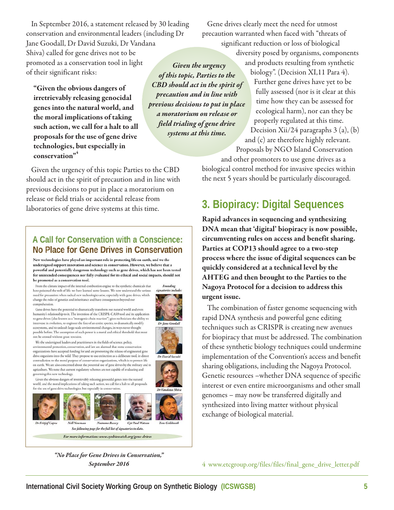In September 2016, a statement released by 30 leading conservation and environmental leaders (including Dr Jane Goodall, Dr David Suzuki, Dr Vandana Shiva) called for gene drives not to be promoted as a conservation tool in light of their significant risks:

**"Given the obvious dangers of irretrievably releasing genocidal genes into the natural world, and the moral implications of taking such action, we call for a halt to all proposals for the use of gene drive technologies, but especially in conservation"4**

*Given the urgency of this topic, Parties to the CBD should act in the spirit of precaution and in line with previous decisions to put in place a moratorium on release or field trialing of gene drive systems at this time.* 

Given the urgency of this topic Parties to the CBD should act in the spirit of precaution and in line with previous decisions to put in place a moratorium on release or field trials or accidental release from laboratories of gene drive systems at this time.

#### A Call for Conservation with a Conscience: No Place for Gene Drives in Conservation

New technologies have played an important role in protecting life on earth, and we the undersigned support innovation and science in conservation. However, we believe that a powerful and potentially dangerous technology such as gene drives, which has not been tested for unintended consequences nor fully evaluated for its ethical and social impacts, should not be promoted as a conservation tool.

From the climate impact of the internal combustion engine to the synthetic chemicals that signatories include: have poisoned the web of life, we have learned some lessons. We now understand the serious need for precaution when radical new technologies arise, especially with gene drives, which change the rules of genetics and inheritance and have consequences beyond our comprehension.

Gene drives have the potential to dramatically transform our natural world and even humanity's relationship to it. The invention of the CRISPR-CAS9 tool and its application<br>to gene drives (also known as a "mutagenic chain reaction") gives technicians the ability to intervene in evolution, to engineer the fate of an entire species, to dramatically modify ecosystems, and to unleash large-scale environmental changes, in ways never thought<br>possible before. The assumption of such power is a moral and ethical threshold that must not be crossed without great restraint.

We the undersigned leaders and practitioners in the fields of science, policy, environmental protection, conservation, and law are alarmed that some conservation organizations have accepted funding for and are promoting the release of engineered gene<br>drive organisms into the wild. They propose to use extinction as a deliberate tool, in direct contradiction to the moral purpose of conservation organizations, which is to protect life on earth. We are also concerned about the potential use of gene drives by the military and in agriculture. We note that current regulatory schemes are not capable of evaluating and governing this new technology.

Given the obvious dangers of irretrievably releasing genocidal genes into the natural world, and the moral implications of taking such action, we call for a halt to all proposals for the use of gene drive technologies, but especially in conservation.



*"No Place for Gene Drives in Conservation,"* 

Gene drives clearly meet the need for utmost precaution warranted when faced with "threats of significant reduction or loss of biological

> diversity posed by organisms, components and products resulting from synthetic biology". (Decision XI,11 Para 4).

Further gene drives have yet to be fully assessed (nor is it clear at this time how they can be assessed for ecological harm), nor can they be properly regulated at this time. Decision Xii/24 paragraphs 3 (a), (b) and (c) are therefore highly relevant.

Proposals by NGO Island Conservation and other promoters to use gene drives as a biological control method for invasive species within the next 5 years should be particularly discouraged.

## **3. Biopiracy: Digital Sequences**

**Rapid advances in sequencing and synthesizing DNA mean that 'digital' biopiracy is now possible, circumventing rules on access and benefit sharing. Parties at COP13 should agree to a two-step process where the issue of digital sequences can be quickly considered at a technical level by the AHTEG and then brought to the Parties to the Nagoya Protocol for a decision to address this urgent issue.**

The combination of faster genome sequencing with rapid DNA synthesis and powerful gene editing techniques such as CRISPR is creating new avenues for biopiracy that must be addressed. The combination of these synthetic biology techniques could undermine implementation of the Convention's access and benefit sharing obligations, including the Nagoya Protocol. Genetic resources –whether DNA sequence of specific interest or even entire microorganisms and other small genomes – may now be transferred digitally and synthesized into living matter without physical exchange of biological material.

**September 2016** 4 www.etcgroup.org/files/files/final\_gene\_drive\_letter.pdf



Founding

Dr Jane Ge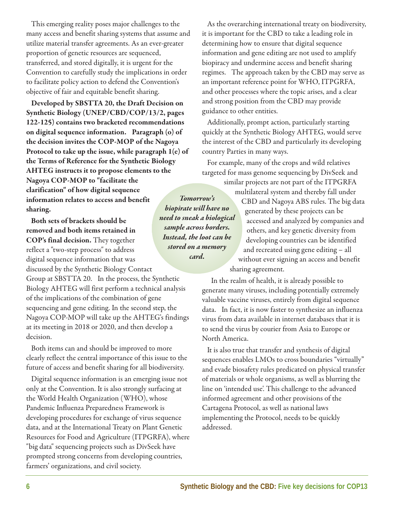This emerging reality poses major challenges to the many access and benefit sharing systems that assume and utilize material transfer agreements. As an ever-greater proportion of genetic resources are sequenced, transferred, and stored digitally, it is urgent for the Convention to carefully study the implications in order to facilitate policy action to defend the Convention's objective of fair and equitable benefit sharing.

**Developed by SBSTTA 20, the Draft Decision on Synthetic Biology (UNEP/CBD/COP/13/2, pages 122-125) contains two bracketed recommendations on digital sequence information. Paragraph (o) of the decision invites the COP-MOP of the Nagoya Protocol to take up the issue, while paragraph 1(e) of the Terms of Reference for the Synthetic Biology AHTEG instructs it to propose elements to the Nagoya COP-MOP to "facilitate the clarification" of how digital sequence information relates to access and benefit sharing.**

**Both sets of brackets should be removed and both items retained in COP's final decision.** They together reflect a "two-step process" to address digital sequence information that was discussed by the Synthetic Biology Contact

Group at SBSTTA 20. In the process, the Synthetic Biology AHTEG will first perform a technical analysis of the implications of the combination of gene sequencing and gene editing. In the second step, the Nagoya COP-MOP will take up the AHTEG's findings at its meeting in 2018 or 2020, and then develop a decision.

Both items can and should be improved to more clearly reflect the central importance of this issue to the future of access and benefit sharing for all biodiversity.

Digital sequence information is an emerging issue not only at the Convention. It is also strongly surfacing at the World Health Organization (WHO), whose Pandemic Influenza Preparedness Framework is developing procedures for exchange of virus sequence data, and at the International Treaty on Plant Genetic Resources for Food and Agriculture (ITPGRFA), where "big data" sequencing projects such as DivSeek have prompted strong concerns from developing countries, farmers' organizations, and civil society.

As the overarching international treaty on biodiversity, it is important for the CBD to take a leading role in determining how to ensure that digital sequence information and gene editing are not used to amplify biopiracy and undermine access and benefit sharing regimes. The approach taken by the CBD may serve as an important reference point for WHO, ITPGRFA, and other processes where the topic arises, and a clear and strong position from the CBD may provide guidance to other entities.

Additionally, prompt action, particularly starting quickly at the Synthetic Biology AHTEG, would serve the interest of the CBD and particularly its developing country Parties in many ways.

For example, many of the crops and wild relatives targeted for mass genome sequencing by DivSeek and

similar projects are not part of the ITPGRFA

multilateral system and thereby fall under CBD and Nagoya ABS rules. The big data generated by these projects can be accessed and analyzed by companies and others, and key genetic diversity from developing countries can be identified and recreated using gene editing – all without ever signing an access and benefit sharing agreement.

In the realm of health, it is already possible to generate many viruses, including potentially extremely valuable vaccine viruses, entirely from digital sequence data. In fact, it is now faster to synthesize an influenza virus from data available in internet databases that it is to send the virus by courier from Asia to Europe or North America.

It is also true that transfer and synthesis of digital sequences enables LMOs to cross boundaries "virtually" and evade biosafety rules predicated on physical transfer of materials or whole organisms, as well as blurring the line on 'intended use'. This challenge to the advanced informed agreement and other provisions of the Cartagena Protocol, as well as national laws implementing the Protocol, needs to be quickly addressed.

*Tomorrow's biopirate will have no need to sneak a biological sample across borders. Instead, the loot can be stored on a memory card.*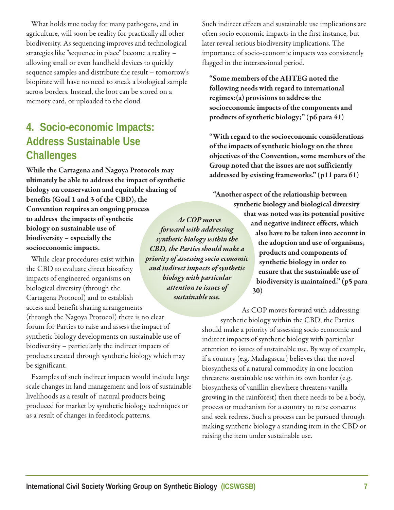What holds true today for many pathogens, and in agriculture, will soon be reality for practically all other biodiversity. As sequencing improves and technological strategies like "sequence in place" become a reality – allowing small or even handheld devices to quickly sequence samples and distribute the result – tomorrow's biopirate will have no need to sneak a biological sample across borders. Instead, the loot can be stored on a memory card, or uploaded to the cloud.

## **4. Socio-economic Impacts: Address Sustainable Use Challenges**

**While the Cartagena and Nagoya Protocols may ultimately be able to address the impact of synthetic biology on conservation and equitable sharing of benefits (Goal 1 and 3 of the CBD), the Convention requires an ongoing process to address the impacts of synthetic biology on sustainable use of biodiversity – especially the socioeconomic impacts.** *As COP moves forward with addressing synthetic biology within the CBD, the Parties should make a*

While clear procedures exist within the CBD to evaluate direct biosafety impacts of engineered organisms on biological diversity (through the Cartagena Protocol) and to establish access and benefit-sharing arrangements (through the Nagoya Protocol) there is no clear forum for Parties to raise and assess the impact of synthetic biology developments on sustainable use of biodiversity – particularly the indirect impacts of products created through synthetic biology which may *priority of assessing socio economic and indirect impacts of synthetic biology with particular attention to issues of sustainable use.* 

be significant.

Examples of such indirect impacts would include large scale changes in land management and loss of sustainable livelihoods as a result of natural products being produced for market by synthetic biology techniques or as a result of changes in feedstock patterns.

Such indirect effects and sustainable use implications are often socio economic impacts in the first instance, but later reveal serious biodiversity implications. The importance of socio-economic impacts was consistently flagged in the intersessional period.

**"Some members of the AHTEG noted the following needs with regard to international regimes:(a) provisions to address the socioeconomic impacts of the components and products of synthetic biology;" (p6 para 41)** 

**"With regard to the socioeconomic considerations of the impacts of synthetic biology on the three objectives of the Convention, some members of the Group noted that the issues are not sufficiently addressed by existing frameworks." (p11 para 61)** 

**"Another aspect of the relationship between synthetic biology and biological diversity that was noted was its potential positive and negative indirect effects, which also have to be taken into account in the adoption and use of organisms, products and components of synthetic biology in order to ensure that the sustainable use of biodiversity is maintained." (p5 para 30)** 

As COP moves forward with addressing synthetic biology within the CBD, the Parties should make a priority of assessing socio economic and indirect impacts of synthetic biology with particular attention to issues of sustainable use. By way of example, if a country (e.g. Madagascar) believes that the novel biosynthesis of a natural commodity in one location threatens sustainable use within its own border (e.g. biosynthesis of vanillin elsewhere threatens vanilla growing in the rainforest) then there needs to be a body, process or mechanism for a country to raise concerns and seek redress. Such a process can be pursued through making synthetic biology a standing item in the CBD or raising the item under sustainable use.